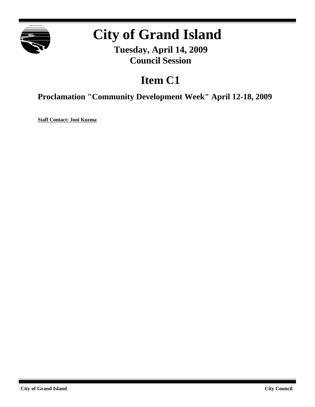

# **City of Grand Island**

**Tuesday, April 14, 2009 Council Session**

## **Item C1**

**Proclamation "Community Development Week" April 12-18, 2009**

**Staff Contact: Joni Kuzma**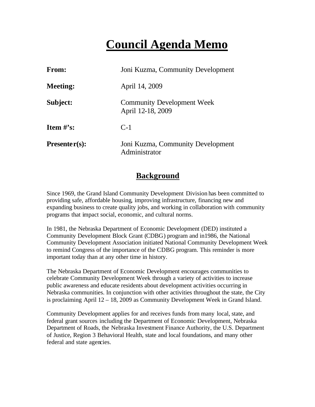### **Council Agenda Memo**

| <b>From:</b>    | Joni Kuzma, Community Development                      |
|-----------------|--------------------------------------------------------|
| <b>Meeting:</b> | April 14, 2009                                         |
| Subject:        | <b>Community Development Week</b><br>April 12-18, 2009 |
| Item $\#$ 's:   | $C-1$                                                  |
| $Presenter(s):$ | Joni Kuzma, Community Development<br>Administrator     |

#### **Background**

Since 1969, the Grand Island Community Development Division has been committed to providing safe, affordable housing, improving infrastructure, financing new and expanding business to create quality jobs, and working in collaboration with community programs that impact social, economic, and cultural norms.

In 1981, the Nebraska Department of Economic Development (DED) instituted a Community Development Block Grant (CDBG) program and in1986, the National Community Development Association initiated National Community Development Week to remind Congress of the importance of the CDBG program. This reminder is more important today than at any other time in history.

The Nebraska Department of Economic Development encourages communities to celebrate Community Development Week through a variety of activities to increase public awareness and educate residents about development activities occurring in Nebraska communities. In conjunction with other activities throughout the state, the City is proclaiming April 12 – 18, 2009 as Community Development Week in Grand Island.

Community Development applies for and receives funds from many local, state, and federal grant sources including the Department of Economic Development, Nebraska Department of Roads, the Nebraska Investment Finance Authority, the U.S. Department of Justice, Region 3 Behavioral Health, state and local foundations, and many other federal and state agencies.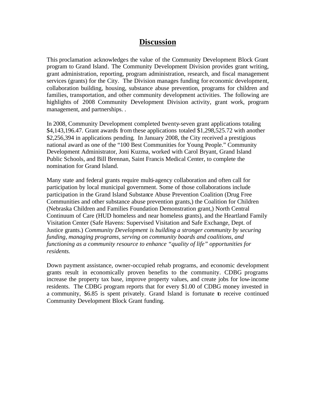#### **Discussion**

This proclamation acknowledges the value of the Community Development Block Grant program to Grand Island. The Community Development Division provides grant writing, grant administration, reporting, program administration, research, and fiscal management services (grants) for the City. The Division manages funding for economic development, collaboration building, housing, substance abuse prevention, programs for children and families, transportation, and other community development activities. The following are highlights of 2008 Community Development Division activity, grant work, program management, and partnerships. .

In 2008, Community Development completed twenty-seven grant applications totaling \$4,143,196.47. Grant awards from these applications totaled \$1,298,525.72 with another \$2,256,394 in applications pending. In January 2008, the City received a prestigious national award as one of the "100 Best Communities for Young People." Community Development Administrator, Joni Kuzma, worked with Carol Bryant, Grand Island Public Schools, and Bill Brennan, Saint Francis Medical Center, to complete the nomination for Grand Island.

Many state and federal grants require multi-agency collaboration and often call for participation by local municipal government. Some of those collaborations include participation in the Grand Island Substance Abuse Prevention Coalition (Drug Free Communities and other substance abuse prevention grants,) the Coalition for Children (Nebraska Children and Families Foundation Demonstration grant,) North Central Continuum of Care (HUD homeless and near homeless grants), and the Heartland Family Visitation Center (Safe Havens: Supervised Visitation and Safe Exchange, Dept. of Justice grants.) *Community Development is building a stronger community by securing funding, managing programs, serving on community boards and coalitions, and functioning as a community resource to enhance "quality of life" opportunities for residents.* 

Down payment assistance, owner-occupied rehab programs, and economic development grants result in economically proven benefits to the community. CDBG programs increase the property tax base, improve property values, and create jobs for low-income residents. The CDBG program reports that for every \$1.00 of CDBG money invested in a community, \$6.85 is spent privately. Grand Island is fortunate to receive continued Community Development Block Grant funding.